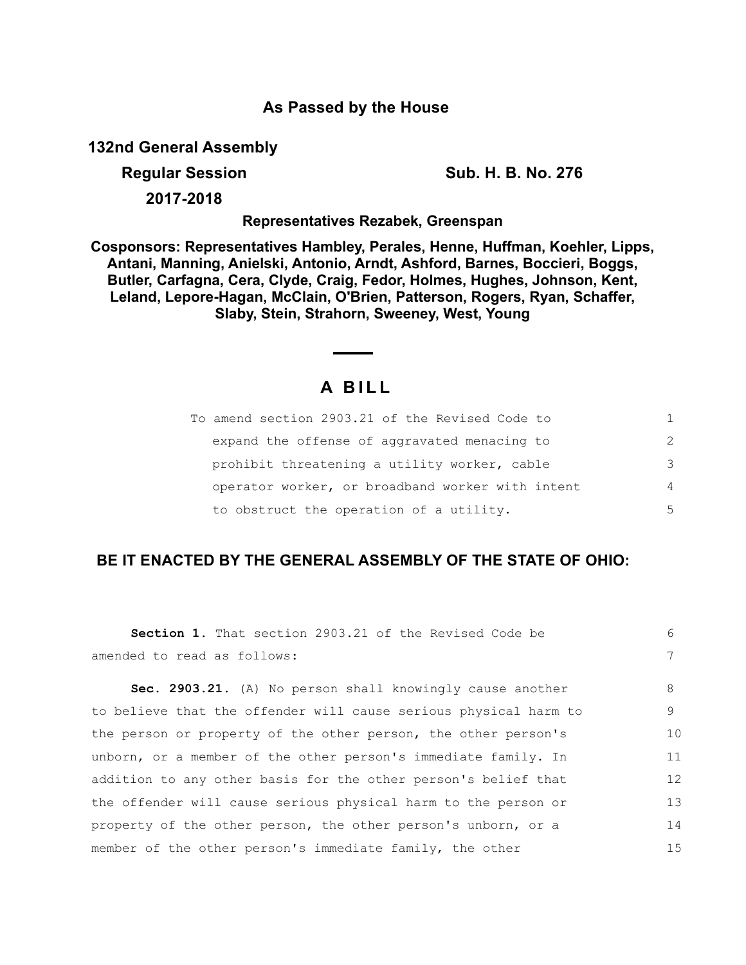## **As Passed by the House**

**132nd General Assembly**

**Regular Session Sub. H. B. No. 276**

**2017-2018**

**Representatives Rezabek, Greenspan**

**Cosponsors: Representatives Hambley, Perales, Henne, Huffman, Koehler, Lipps, Antani, Manning, Anielski, Antonio, Arndt, Ashford, Barnes, Boccieri, Boggs, Butler, Carfagna, Cera, Clyde, Craig, Fedor, Holmes, Hughes, Johnson, Kent, Leland, Lepore-Hagan, McClain, O'Brien, Patterson, Rogers, Ryan, Schaffer, Slaby, Stein, Strahorn, Sweeney, West, Young**

## **A B I L L**

| To amend section 2903.21 of the Revised Code to  |                |
|--------------------------------------------------|----------------|
| expand the offense of aggravated menacing to     | $\mathcal{P}$  |
| prohibit threatening a utility worker, cable     | 3              |
| operator worker, or broadband worker with intent | $\overline{4}$ |
| to obstruct the operation of a utility.          | 5              |

## **BE IT ENACTED BY THE GENERAL ASSEMBLY OF THE STATE OF OHIO:**

| <b>Section 1.</b> That section 2903.21 of the Revised Code be    | 6  |
|------------------------------------------------------------------|----|
| amended to read as follows:                                      | 7  |
| Sec. 2903.21. (A) No person shall knowingly cause another        | 8  |
| to believe that the offender will cause serious physical harm to | 9  |
| the person or property of the other person, the other person's   | 10 |
| unborn, or a member of the other person's immediate family. In   | 11 |
| addition to any other basis for the other person's belief that   | 12 |
| the offender will cause serious physical harm to the person or   | 13 |
| property of the other person, the other person's unborn, or a    | 14 |
| member of the other person's immediate family, the other         | 15 |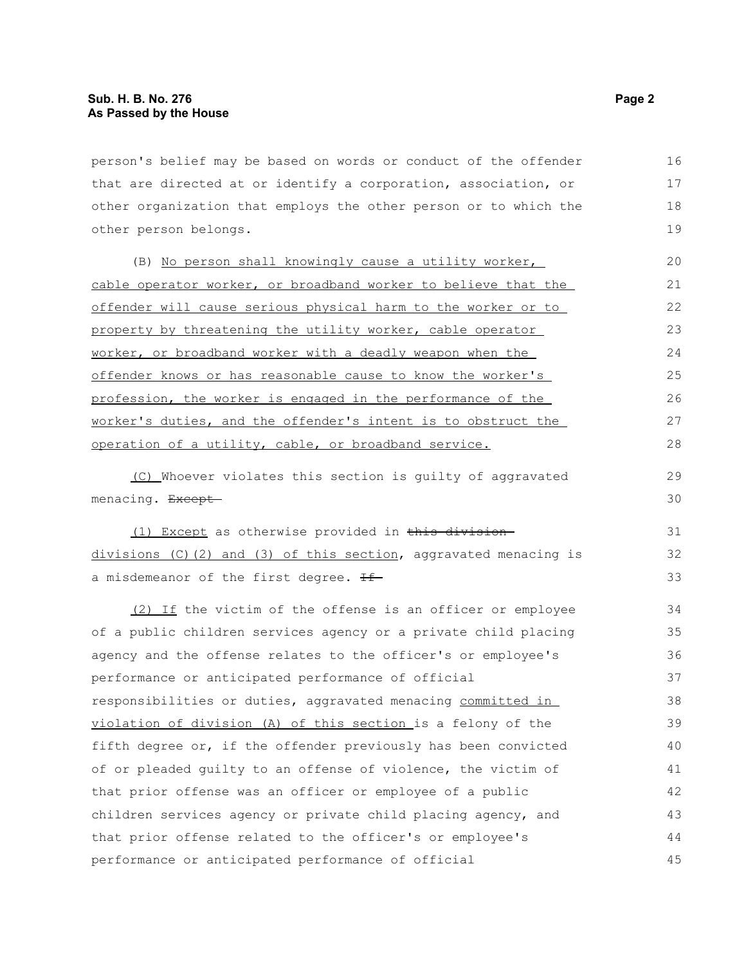person's belief may be based on words or conduct of the offender that are directed at or identify a corporation, association, or other organization that employs the other person or to which the other person belongs. 16 17 18

(B) No person shall knowingly cause a utility worker, cable operator worker, or broadband worker to believe that the offender will cause serious physical harm to the worker or to property by threatening the utility worker, cable operator worker, or broadband worker with a deadly weapon when the offender knows or has reasonable cause to know the worker's profession, the worker is engaged in the performance of the worker's duties, and the offender's intent is to obstruct the operation of a utility, cable, or broadband service. 20 21 22 23  $24$ 25 26 27 28

(C) Whoever violates this section is guilty of aggravated menacing. Except-

(1) Except as otherwise provided in this division divisions (C) (2) and (3) of this section, aggravated menacing is a misdemeanor of the first degree. Hf

(2) If the victim of the offense is an officer or employee of a public children services agency or a private child placing agency and the offense relates to the officer's or employee's performance or anticipated performance of official responsibilities or duties, aggravated menacing committed in violation of division (A) of this section is a felony of the fifth degree or, if the offender previously has been convicted of or pleaded guilty to an offense of violence, the victim of that prior offense was an officer or employee of a public children services agency or private child placing agency, and that prior offense related to the officer's or employee's performance or anticipated performance of official 34 35 36 37 38 39 40 41 42 43 44 45

19

29 30

31 32 33